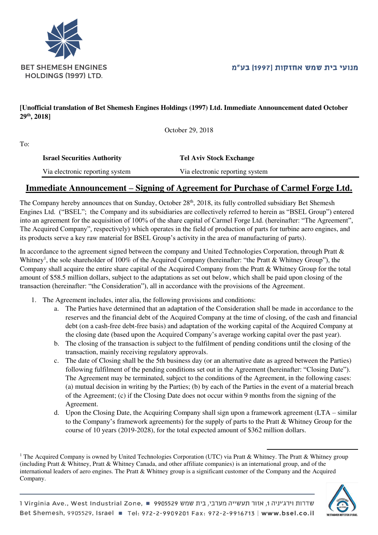



## **[Unofficial translation of Bet Shemesh Engines Holdings (1997) Ltd. Immediate Announcement dated October 29th, 2018]**

October 29, 2018

To:

| <b>Israel Securities Authority</b> | <b>Tel Aviv Stock Exchange</b>  |
|------------------------------------|---------------------------------|
| Via electronic reporting system    | Via electronic reporting system |

## **Immediate Announcement – Signing of Agreement for Purchase of Carmel Forge Ltd.**

The Company hereby announces that on Sunday, October 28<sup>th</sup>, 2018, its fully controlled subsidiary Bet Shemesh Engines Ltd. ("BSEL"; the Company and its subsidiaries are collectively referred to herein as "BSEL Group") entered into an agreement for the acquisition of 100% of the share capital of Carmel Forge Ltd. (hereinafter: "The Agreement", The Acquired Company", respectively) which operates in the field of production of parts for turbine aero engines, and its products serve a key raw material for BSEL Group's activity in the area of manufacturing of parts).

In accordance to the agreement signed between the company and United Technologies Corporation, through Pratt & Whitney<sup>1</sup>, the sole shareholder of 100% of the Acquired Company (hereinafter: "the Pratt & Whitney Group"), the Company shall acquire the entire share capital of the Acquired Company from the Pratt & Whitney Group for the total amount of \$58.5 million dollars, subject to the adaptations as set out below, which shall be paid upon closing of the transaction (hereinafter: "the Consideration"), all in accordance with the provisions of the Agreement.

- 1. The Agreement includes, inter alia, the following provisions and conditions:
	- a. The Parties have determined that an adaptation of the Consideration shall be made in accordance to the reserves and the financial debt of the Acquired Company at the time of closing, of the cash and financial debt (on a cash-free debt-free basis) and adaptation of the working capital of the Acquired Company at the closing date (based upon the Acquired Company's average working capital over the past year).
	- b. The closing of the transaction is subject to the fulfilment of pending conditions until the closing of the transaction, mainly receiving regulatory approvals.
	- c. The date of Closing shall be the 5th business day (or an alternative date as agreed between the Parties) following fulfilment of the pending conditions set out in the Agreement (hereinafter: "Closing Date"). The Agreement may be terminated, subject to the conditions of the Agreement, in the following cases: (a) mutual decision in writing by the Parties; (b) by each of the Parties in the event of a material breach of the Agreement; (c) if the Closing Date does not occur within 9 months from the signing of the Agreement.
	- d. Upon the Closing Date, the Acquiring Company shall sign upon a framework agreement (LTA similar to the Company's framework agreements) for the supply of parts to the Pratt & Whitney Group for the course of 10 years (2019-2028), for the total expected amount of \$362 million dollars.

 $\overline{a}$ 

<sup>&</sup>lt;sup>1</sup> The Acquired Company is owned by United Technologies Corporation (UTC) via Pratt & Whitney. The Pratt & Whitney group (including Pratt & Whitney, Pratt & Whitney Canada, and other affiliate companies) is an international group, and of the international leaders of aero engines. The Pratt & Whitney group is a significant customer of the Company and the Acquired Company.

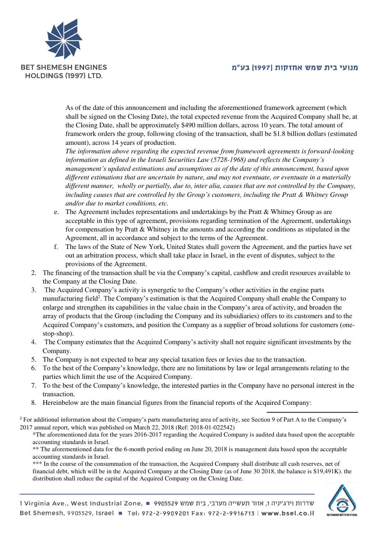## מנועי בית שמש אחזקות |1997| בע"מ



As of the date of this announcement and including the aforementioned framework agreement (which shall be signed on the Closing Date), the total expected revenue from the Acquired Company shall be, at the Closing Date, shall be approximately \$490 million dollars, across 10 years. The total amount of framework orders the group, following closing of the transaction, shall be \$1.8 billion dollars (estimated amount), across 14 years of production.

*The information above regarding the expected revenue from framework agreements is forward-looking information as defined in the Israeli Securities Law (5728-1968) and reflects the Company's management's updated estimations and assumptions as of the date of this announcement, based upon different estimations that are uncertain by nature, and may not eventuate, or eventuate in a materially different manner, wholly or partially, due to, inter alia, causes that are not controlled by the Company, including causes that are controlled by the Group's customers, including the Pratt & Whitney Group and/or due to market conditions, etc.* 

- e. The Agreement includes representations and undertakings by the Pratt & Whitney Group as are acceptable in this type of agreement, provisions regarding termination of the Agreement, undertakings for compensation by Pratt & Whitney in the amounts and according the conditions as stipulated in the Agreement, all in accordance and subject to the terms of the Agreement.
- f. The laws of the State of New York, United States shall govern the Agreement, and the parties have set out an arbitration process, which shall take place in Israel, in the event of disputes, subject to the provisions of the Agreement.
- 2. The financing of the transaction shall be via the Company's capital, cashflow and credit resources available to the Company at the Closing Date.
- 3. The Acquired Company's activity is synergetic to the Company's other activities in the engine parts manufacturing field<sup>2</sup>. The Company's estimation is that the Acquired Company shall enable the Company to enlarge and strengthen its capabilities in the value chain in the Company's area of activity, and broaden the array of products that the Group (including the Company and its subsidiaries) offers to its customers and to the Acquired Company's customers, and position the Company as a supplier of broad solutions for customers (onestop-shop).
- 4. The Company estimates that the Acquired Company's activity shall not require significant investments by the Company.
- 5. The Company is not expected to bear any special taxation fees or levies due to the transaction.
- 6. To the best of the Company's knowledge, there are no limitations by law or legal arrangements relating to the parties which limit the use of the Acquired Company.
- 7. To the best of the Company's knowledge, the interested parties in the Company have no personal interest in the transaction.

 $\overline{a}$ 

8. Hereinbelow are the main financial figures from the financial reports of the Acquired Company:

<sup>2</sup> For additional information about the Company's parts manufacturing area of activity, see Section 9 of Part A to the Company's 2017 annual report, which was published on March 22, 2018 (Ref: 2018-01-022542)

\*The aforementioned data for the years 2016-2017 regarding the Acquired Company is audited data based upon the acceptable accounting standards in Israel.

\*\* The aforementioned data for the 6-month period ending on June 20, 2018 is management data based upon the acceptable accounting standards in Israel.

\*\*\* In the course of the consummation of the transaction, the Acquired Company shall distribute all cash reserves, net of financial debt, which will be in the Acquired Company at the Closing Date (as of June 30 2018, the balance is \$19,491K). the distribution shall reduce the capital of the Acquired Company on the Closing Date.